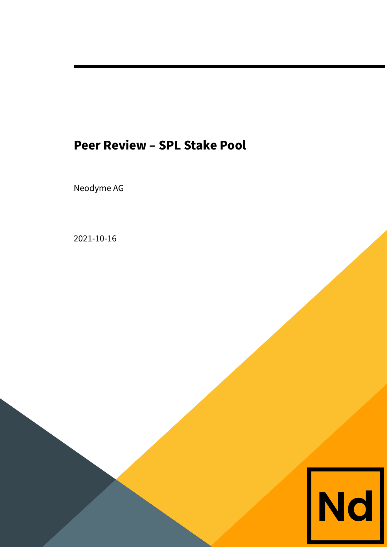# **Peer Review – SPL Stake Pool**

Neodyme AG

2021-10-16

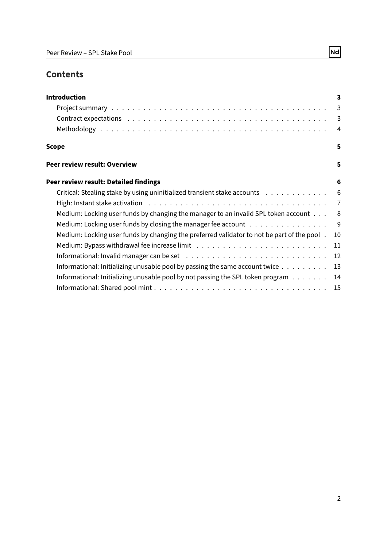# **Contents**

| <b>Introduction</b>                                                                             | 3              |
|-------------------------------------------------------------------------------------------------|----------------|
|                                                                                                 | $\overline{3}$ |
|                                                                                                 | $\overline{3}$ |
|                                                                                                 | $\overline{4}$ |
| Scope                                                                                           | 5              |
| Peer review result: Overview                                                                    | 5              |
| Peer review result: Detailed findings                                                           | 6              |
| Critical: Stealing stake by using uninitialized transient stake accounts                        | 6              |
|                                                                                                 |                |
| Medium: Locking user funds by changing the manager to an invalid SPL token account $\dots$      | - 8            |
| Medium: Locking user funds by closing the manager fee account                                   | - 9            |
| Medium: Locking user funds by changing the preferred validator to not be part of the pool.      | 10             |
|                                                                                                 | 11             |
|                                                                                                 | 12             |
| Informational: Initializing unusable pool by passing the same account twice $\dots \dots \dots$ | 13             |
| Informational: Initializing unusable pool by not passing the SPL token program $\dots$          | 14             |
|                                                                                                 |                |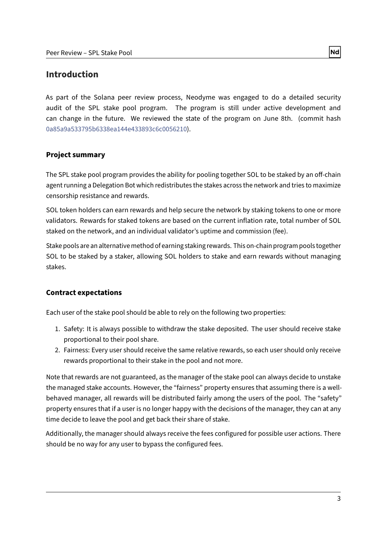# <span id="page-2-0"></span>**Introduction**

As part of the Solana peer review process, Neodyme was engaged to do a detailed security audit of the SPL stake pool program. The program is still under active development and can change in the future. We reviewed the state of the program on June 8th. (commit hash 0a85a9a533795b6338ea144e433893c6c0056210).

# <span id="page-2-1"></span>**Project summary**

The SPL stake pool program provides the ability for pooling together SOL to be staked by an off-chain agent running a Delegation Bot which redistributes the stakes across the network and tries to maximize censorship resistance and rewards.

SOL token holders can earn rewards and help secure the network by staking tokens to one or more validators. Rewards for staked tokens are based on the current inflation rate, total number of SOL staked on the network, and an individual validator's uptime and commission (fee).

Stake pools are an alternative method of earning staking rewards. This on-chain program pools together SOL to be staked by a staker, allowing SOL holders to stake and earn rewards without managing stakes.

# <span id="page-2-2"></span>**Contract expectations**

Each user of the stake pool should be able to rely on the following two properties:

- 1. Safety: It is always possible to withdraw the stake deposited. The user should receive stake proportional to their pool share.
- 2. Fairness: Every user should receive the same relative rewards, so each user should only receive rewards proportional to their stake in the pool and not more.

Note that rewards are not guaranteed, as the manager of the stake pool can always decide to unstake the managed stake accounts. However, the "fairness" property ensures that assuming there is a wellbehaved manager, all rewards will be distributed fairly among the users of the pool. The "safety" property ensures that if a user is no longer happy with the decisions of the manager, they can at any time decide to leave the pool and get back their share of stake.

Additionally, the manager should always receive the fees configured for possible user actions. There should be no way for any user to bypass the configured fees.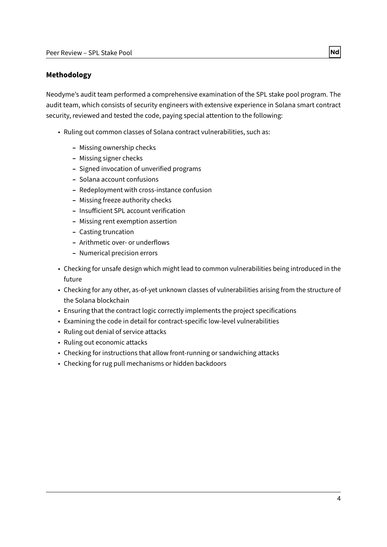### <span id="page-3-0"></span>**Methodology**

Neodyme's audit team performed a comprehensive examination of the SPL stake pool program. The audit team, which consists of security engineers with extensive experience in Solana smart contract security, reviewed and tested the code, paying special attention to the following:

- Ruling out common classes of Solana contract vulnerabilities, such as:
	- **–** Missing ownership checks
	- **–** Missing signer checks
	- **–** Signed invocation of unverified programs
	- **–** Solana account confusions
	- **–** Redeployment with cross-instance confusion
	- **–** Missing freeze authority checks
	- **-** Insufficient SPL account verification
	- **–** Missing rent exemption assertion
	- **–** Casting truncation
	- **–** Arithmetic over- or underflows
	- **–** Numerical precision errors
- Checking for unsafe design which might lead to common vulnerabilities being introduced in the future
- Checking for any other, as-of-yet unknown classes of vulnerabilities arising from the structure of the Solana blockchain
- Ensuring that the contract logic correctly implements the project specifications
- Examining the code in detail for contract-specific low-level vulnerabilities
- Ruling out denial of service attacks
- Ruling out economic attacks
- Checking for instructions that allow front-running or sandwiching attacks
- Checking for rug pull mechanisms or hidden backdoors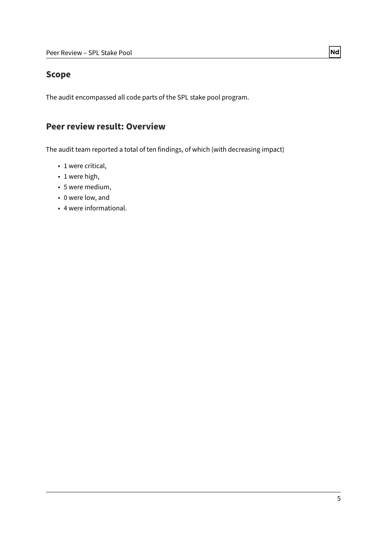# <span id="page-4-0"></span>**Scope**

The audit encompassed all code parts of the SPL stake pool program.

# <span id="page-4-1"></span>**Peer review result: Overview**

The audit team reported a total of ten findings, of which (with decreasing impact)

- 1 were critical,
- 1 were high,
- 5 were medium,
- 0 were low, and
- 4 were informational.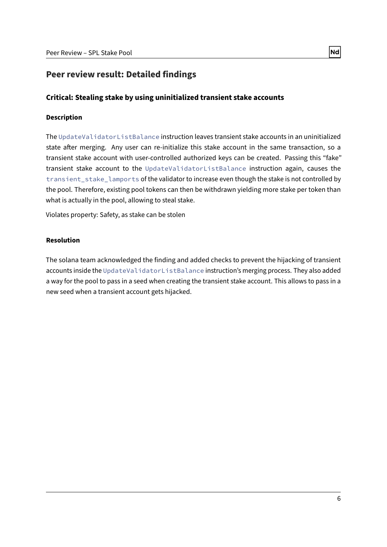# <span id="page-5-0"></span>**Peer review result: Detailed findings**

# <span id="page-5-1"></span>**Critical: Stealing stake by using uninitialized transient stake accounts**

### **Description**

The UpdateValidatorListBalance instruction leaves transient stake accounts in an uninitialized state after merging. Any user can re-initialize this stake account in the same transaction, so a transient stake account with user-controlled authorized keys can be created. Passing this "fake" transient stake account to the UpdateValidatorListBalance instruction again, causes the transient\_stake\_lamports of the validator to increase even though the stake is not controlled by the pool. Therefore, existing pool tokens can then be withdrawn yielding more stake per token than what is actually in the pool, allowing to steal stake.

Violates property: Safety, as stake can be stolen

### **Resolution**

The solana team acknowledged the finding and added checks to prevent the hijacking of transient accounts inside the UpdateValidatorListBalance instruction's merging process. They also added a way for the pool to pass in a seed when creating the transient stake account. This allows to pass in a new seed when a transient account gets hijacked.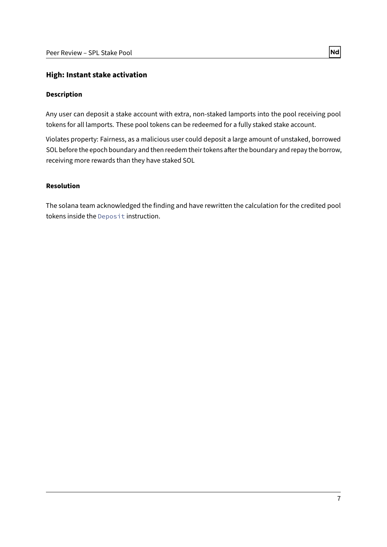## <span id="page-6-0"></span>**High: Instant stake activation**

### **Description**

Any user can deposit a stake account with extra, non-staked lamports into the pool receiving pool tokens for all lamports. These pool tokens can be redeemed for a fully staked stake account.

Violates property: Fairness, as a malicious user could deposit a large amount of unstaked, borrowed SOL before the epoch boundary and then reedem their tokens after the boundary and repay the borrow, receiving more rewards than they have staked SOL

### **Resolution**

The solana team acknowledged the finding and have rewritten the calculation for the credited pool tokens inside the Deposit instruction.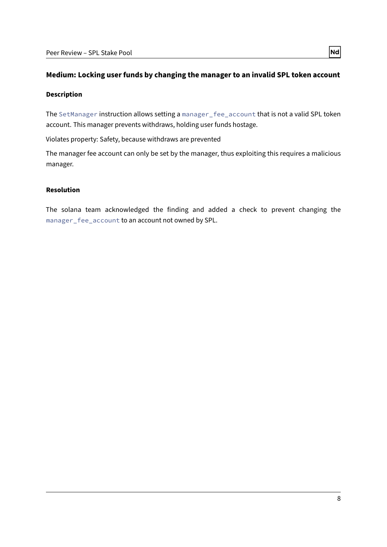# <span id="page-7-0"></span>**Medium: Locking user funds by changing the manager to an invalid SPL token account**

#### **Description**

The SetManager instruction allows setting a manager\_fee\_account that is not a valid SPL token account. This manager prevents withdraws, holding user funds hostage.

Violates property: Safety, because withdraws are prevented

The manager fee account can only be set by the manager, thus exploiting this requires a malicious manager.

### **Resolution**

The solana team acknowledged the finding and added a check to prevent changing the manager\_fee\_account to an account not owned by SPL.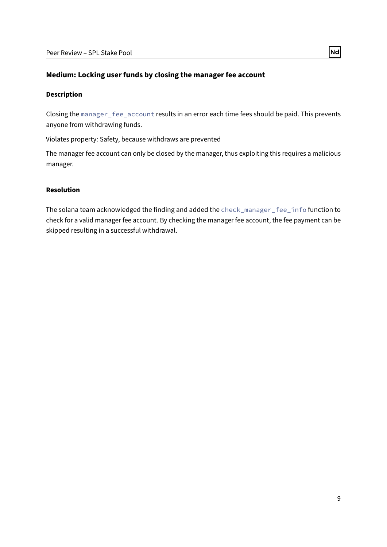## <span id="page-8-0"></span>**Medium: Locking user funds by closing the manager fee account**

#### **Description**

Closing the manager\_fee\_account results in an error each time fees should be paid. This prevents anyone from withdrawing funds.

Violates property: Safety, because withdraws are prevented

The manager fee account can only be closed by the manager, thus exploiting this requires a malicious manager.

### **Resolution**

The solana team acknowledged the finding and added the check\_manager\_fee\_info function to check for a valid manager fee account. By checking the manager fee account, the fee payment can be skipped resulting in a successful withdrawal.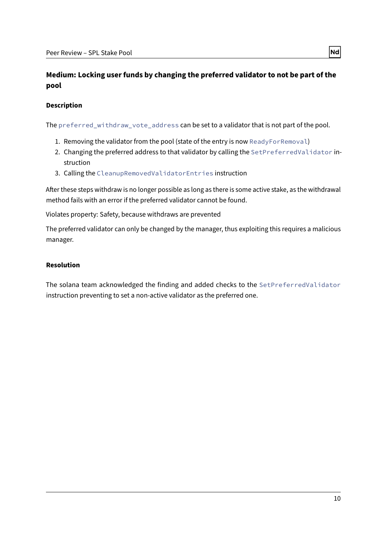# <span id="page-9-0"></span>**Medium: Locking user funds by changing the preferred validator to not be part of the pool**

### **Description**

The preferred\_withdraw\_vote\_address can be set to a validator that is not part of the pool.

- 1. Removing the validator from the pool (state of the entry is now ReadyForRemoval)
- 2. Changing the preferred address to that validator by calling the SetPreferredValidator instruction
- 3. Calling the CleanupRemovedValidatorEntries instruction

After these steps withdraw is no longer possible as long as there is some active stake, as the withdrawal method fails with an error if the preferred validator cannot be found.

Violates property: Safety, because withdraws are prevented

The preferred validator can only be changed by the manager, thus exploiting this requires a malicious manager.

#### **Resolution**

The solana team acknowledged the finding and added checks to the SetPreferredValidator instruction preventing to set a non-active validator as the preferred one.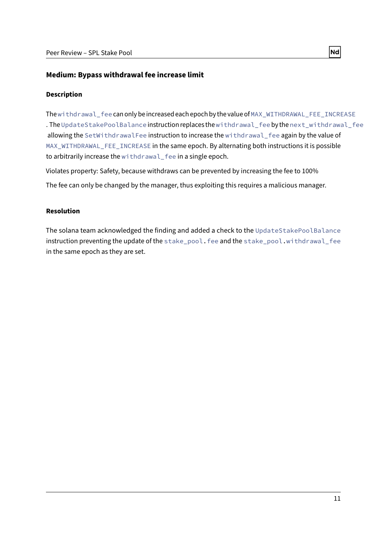# <span id="page-10-0"></span>**Medium: Bypass withdrawal fee increase limit**

### **Description**

The withdrawal fee can only be increased each epoch by the value of MAX\_WITHDRAWAL\_FEE\_INCREASE . The UpdateStakePoolBalance instruction replaces the withdrawal\_fee by the next\_withdrawal\_fee allowing the SetWithdrawalFee instruction to increase the withdrawal fee again by the value of MAX\_WITHDRAWAL\_FEE\_INCREASE in the same epoch. By alternating both instructions it is possible to arbitrarily increase the withdrawal fee in a single epoch.

Violates property: Safety, because withdraws can be prevented by increasing the fee to 100%

The fee can only be changed by the manager, thus exploiting this requires a malicious manager.

# **Resolution**

The solana team acknowledged the finding and added a check to the UpdateStakePoolBalance instruction preventing the update of the stake\_pool.fee and the stake\_pool.withdrawal\_fee in the same epoch as they are set.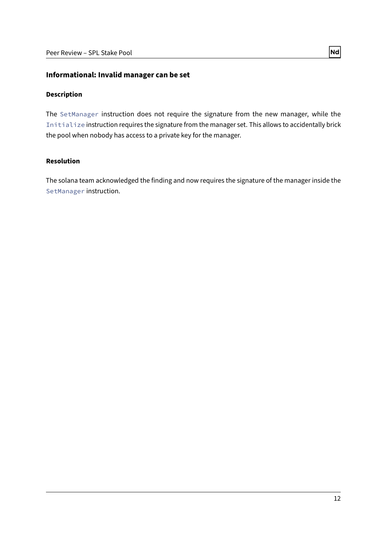### <span id="page-11-0"></span>**Informational: Invalid manager can be set**

### **Description**

The SetManager instruction does not require the signature from the new manager, while the Initialize instruction requires the signature from the manager set. This allows to accidentally brick the pool when nobody has access to a private key for the manager.

## **Resolution**

The solana team acknowledged the finding and now requires the signature of the manager inside the SetManager instruction.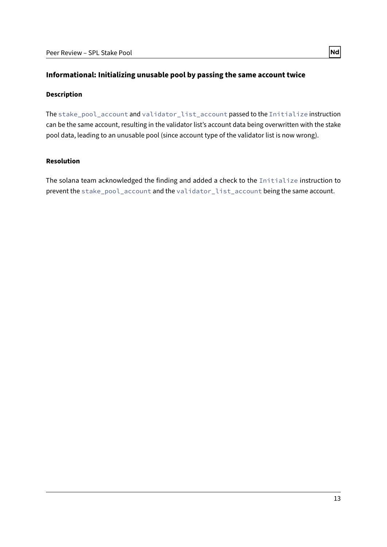# <span id="page-12-0"></span>**Informational: Initializing unusable pool by passing the same account twice**

#### **Description**

The stake\_pool\_account and validator\_list\_account passed to the Initialize instruction can be the same account, resulting in the validator list's account data being overwritten with the stake pool data, leading to an unusable pool (since account type of the validator list is now wrong).

### **Resolution**

The solana team acknowledged the finding and added a check to the Initialize instruction to prevent the stake\_pool\_account and the validator\_list\_account being the same account.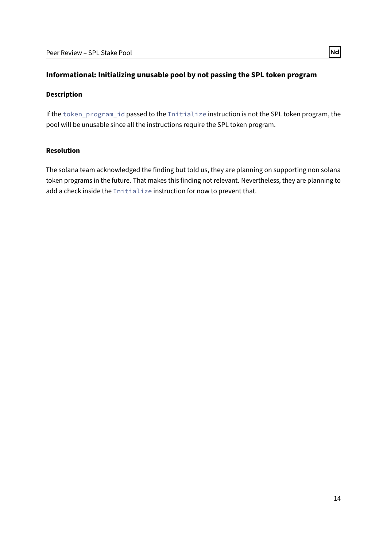# <span id="page-13-0"></span>**Informational: Initializing unusable pool by not passing the SPL token program**

#### **Description**

If the token\_program\_id passed to the Initialize instruction is not the SPL token program, the pool will be unusable since all the instructions require the SPL token program.

### **Resolution**

The solana team acknowledged the finding but told us, they are planning on supporting non solana token programs in the future. That makes this finding not relevant. Nevertheless, they are planning to add a check inside the Initialize instruction for now to prevent that.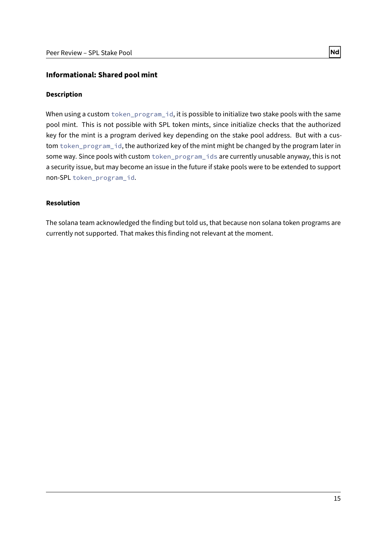# <span id="page-14-0"></span>**Informational: Shared pool mint**

### **Description**

When using a custom token\_program\_id, it is possible to initialize two stake pools with the same pool mint. This is not possible with SPL token mints, since initialize checks that the authorized key for the mint is a program derived key depending on the stake pool address. But with a custom token\_program\_id, the authorized key of the mint might be changed by the program later in some way. Since pools with custom token\_program\_ids are currently unusable anyway, this is not a security issue, but may become an issue in the future if stake pools were to be extended to support non-SPL token\_program\_id.

## **Resolution**

The solana team acknowledged the finding but told us, that because non solana token programs are currently not supported. That makes this finding not relevant at the moment.